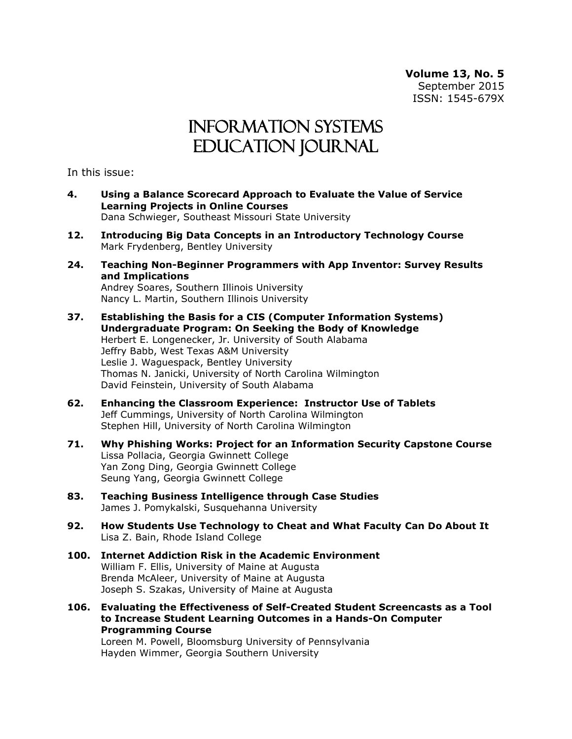**Volume 13, No. 5** September 2015 ISSN: 1545-679X

## Information Systems Education Journal

In this issue:

- **4. Using a Balance Scorecard Approach to Evaluate the Value of Service Learning Projects in Online Courses** Dana Schwieger, Southeast Missouri State University
- **12. Introducing Big Data Concepts in an Introductory Technology Course** Mark Frydenberg, Bentley University
- **24. Teaching Non-Beginner Programmers with App Inventor: Survey Results and Implications** Andrey Soares, Southern Illinois University Nancy L. Martin, Southern Illinois University
- **37. Establishing the Basis for a CIS (Computer Information Systems) Undergraduate Program: On Seeking the Body of Knowledge** Herbert E. Longenecker, Jr. University of South Alabama Jeffry Babb, West Texas A&M University Leslie J. Waguespack, Bentley University Thomas N. Janicki, University of North Carolina Wilmington David Feinstein, University of South Alabama
- **62. Enhancing the Classroom Experience: Instructor Use of Tablets** Jeff Cummings, University of North Carolina Wilmington Stephen Hill, University of North Carolina Wilmington
- **71. Why Phishing Works: Project for an Information Security Capstone Course** Lissa Pollacia, Georgia Gwinnett College Yan Zong Ding, Georgia Gwinnett College Seung Yang, Georgia Gwinnett College
- **83. Teaching Business Intelligence through Case Studies** James J. Pomykalski, Susquehanna University
- **92. How Students Use Technology to Cheat and What Faculty Can Do About It** Lisa Z. Bain, Rhode Island College
- **100. Internet Addiction Risk in the Academic Environment** William F. Ellis, University of Maine at Augusta Brenda McAleer, University of Maine at Augusta Joseph S. Szakas, University of Maine at Augusta
- **106. Evaluating the Effectiveness of Self-Created Student Screencasts as a Tool to Increase Student Learning Outcomes in a Hands-On Computer Programming Course**

Loreen M. Powell, Bloomsburg University of Pennsylvania Hayden Wimmer, Georgia Southern University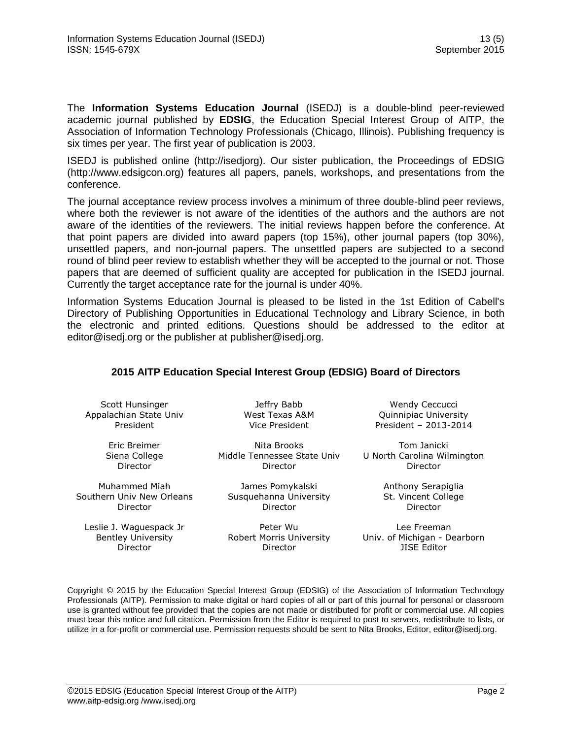The **Information Systems Education Journal** (ISEDJ) is a double-blind peer-reviewed academic journal published by **EDSIG**, the Education Special Interest Group of AITP, the Association of Information Technology Professionals (Chicago, Illinois). Publishing frequency is six times per year. The first year of publication is 2003.

ISEDJ is published online (http://isedjorg). Our sister publication, the Proceedings of EDSIG (http://www.edsigcon.org) features all papers, panels, workshops, and presentations from the conference.

The journal acceptance review process involves a minimum of three double-blind peer reviews, where both the reviewer is not aware of the identities of the authors and the authors are not aware of the identities of the reviewers. The initial reviews happen before the conference. At that point papers are divided into award papers (top 15%), other journal papers (top 30%), unsettled papers, and non-journal papers. The unsettled papers are subjected to a second round of blind peer review to establish whether they will be accepted to the journal or not. Those papers that are deemed of sufficient quality are accepted for publication in the ISEDJ journal. Currently the target acceptance rate for the journal is under 40%.

Information Systems Education Journal is pleased to be listed in the [1st Edition of Cabell's](http://www.cabells.com/)  [Directory of Publishing Opportunities in Educational Technology and Library Science,](http://www.cabells.com/) in both the electronic and printed editions. Questions should be addressed to the editor at [editor@isedj.org](mailto:editor@isedj.org) or the publisher at [publisher@isedj.org.](mailto:publisher@isedj.org)

#### **2015 AITP Education Special Interest Group (EDSIG) Board of Directors**

Scott Hunsinger Appalachian State Univ President

> Eric Breimer Siena College Director

Muhammed Miah Southern Univ New Orleans Director

Leslie J. Waguespack Jr Bentley University Director

Jeffry Babb West Texas A&M Vice President

Nita Brooks Middle Tennessee State Univ Director

James Pomykalski Susquehanna University Director

Peter Wu Robert Morris University Director

Wendy Ceccucci Quinnipiac University President – 2013-2014

Tom Janicki U North Carolina Wilmington Director

> Anthony Serapiglia St. Vincent College Director

Lee Freeman Univ. of Michigan - Dearborn JISE Editor

Copyright © 2015 by the Education Special Interest Group (EDSIG) of the Association of Information Technology Professionals (AITP). Permission to make digital or hard copies of all or part of this journal for personal or classroom use is granted without fee provided that the copies are not made or distributed for profit or commercial use. All copies must bear this notice and full citation. Permission from the Editor is required to post to servers, redistribute to lists, or utilize in a for-profit or commercial use. Permission requests should be sent to Nita Brooks, Editor, editor@isedj.org.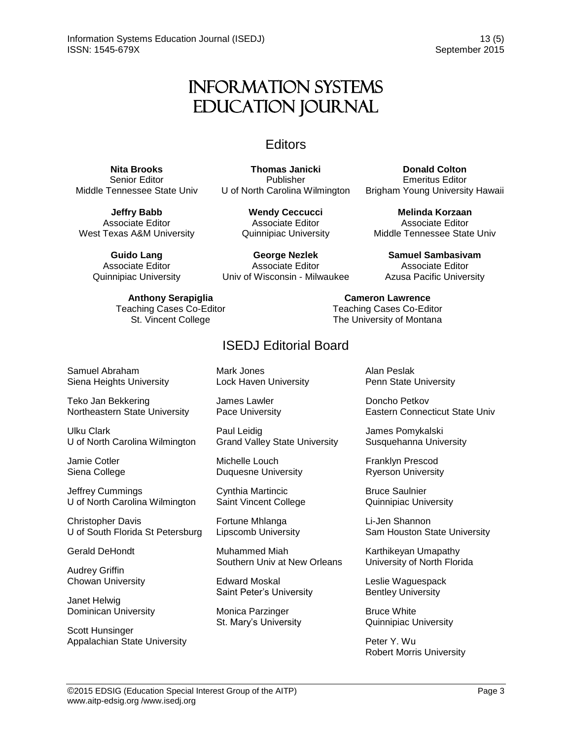# Information Systems Education Journal

### **Editors**

**Thomas Janicki** 

**Nita Brooks** Senior Editor Middle Tennessee State Univ

Publisher U of North Carolina Wilmington

**Jeffry Babb** Associate Editor West Texas A&M University

> **Guido Lang** Associate Editor Quinnipiac University

> > **Anthony Serapiglia** Teaching Cases Co-Editor St. Vincent College

**Wendy Ceccucci** Associate Editor Quinnipiac University

**George Nezlek** Associate Editor Univ of Wisconsin - Milwaukee

> **Cameron Lawrence** Teaching Cases Co-Editor The University of Montana

### ISEDJ Editorial Board

Samuel Abraham Siena Heights University

Teko Jan Bekkering Northeastern State University

Ulku Clark U of North Carolina Wilmington

Jamie Cotler Siena College

Jeffrey Cummings U of North Carolina Wilmington

Christopher Davis U of South Florida St Petersburg

Gerald DeHondt

Audrey Griffin Chowan University

Janet Helwig Dominican University

Scott Hunsinger Appalachian State University Mark Jones Lock Haven University

James Lawler Pace University

Paul Leidig Grand Valley State University

Michelle Louch Duquesne University

Cynthia Martincic Saint Vincent College

Fortune Mhlanga Lipscomb University

Muhammed Miah Southern Univ at New Orleans

Edward Moskal Saint Peter's University

Monica Parzinger St. Mary's University Alan Peslak Penn State University

Doncho Petkov Eastern Connecticut State Univ

**Donald Colton** Emeritus Editor Brigham Young University Hawaii

**Melinda Korzaan** Associate Editor Middle Tennessee State Univ

**Samuel Sambasivam** Associate Editor Azusa Pacific University

James Pomykalski Susquehanna University

Franklyn Prescod Ryerson University

Bruce Saulnier Quinnipiac University

Li-Jen Shannon Sam Houston State University

Karthikeyan Umapathy University of North Florida

Leslie Waguespack Bentley University

Bruce White Quinnipiac University

Peter Y. Wu Robert Morris University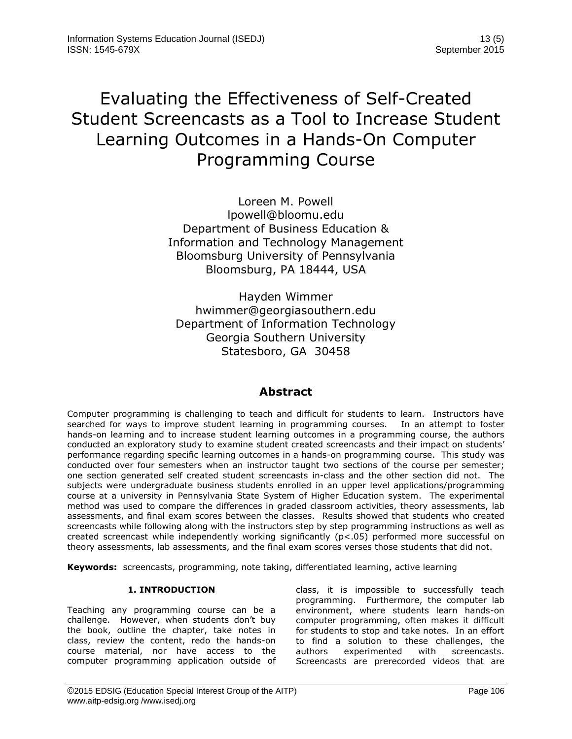# Evaluating the Effectiveness of Self-Created Student Screencasts as a Tool to Increase Student Learning Outcomes in a Hands-On Computer Programming Course

Loreen M. Powell [lpowell@bloomu.edu](mailto:lpowell@bloomu.edu) Department of Business Education & Information and Technology Management Bloomsburg University of Pennsylvania Bloomsburg, PA 18444, USA

Hayden Wimmer [hwimmer@georgiasouthern.edu](mailto:hwimmer@georgiasouthern.edu) Department of Information Technology Georgia Southern University Statesboro, GA 30458

### **Abstract**

Computer programming is challenging to teach and difficult for students to learn. Instructors have searched for ways to improve student learning in programming courses. In an attempt to foster hands-on learning and to increase student learning outcomes in a programming course, the authors conducted an exploratory study to examine student created screencasts and their impact on students' performance regarding specific learning outcomes in a hands-on programming course. This study was conducted over four semesters when an instructor taught two sections of the course per semester; one section generated self created student screencasts in-class and the other section did not. The subjects were undergraduate business students enrolled in an upper level applications/programming course at a university in Pennsylvania State System of Higher Education system. The experimental method was used to compare the differences in graded classroom activities, theory assessments, lab assessments, and final exam scores between the classes. Results showed that students who created screencasts while following along with the instructors step by step programming instructions as well as created screencast while independently working significantly (p<.05) performed more successful on theory assessments, lab assessments, and the final exam scores verses those students that did not.

**Keywords:** screencasts, programming, note taking, differentiated learning, active learning

#### **1. INTRODUCTION**

Teaching any programming course can be a challenge. However, when students don't buy the book, outline the chapter, take notes in class, review the content, redo the hands-on course material, nor have access to the computer programming application outside of class, it is impossible to successfully teach programming. Furthermore, the computer lab environment, where students learn hands-on computer programming, often makes it difficult for students to stop and take notes. In an effort to find a solution to these challenges, the authors experimented with screencasts. Screencasts are prerecorded videos that are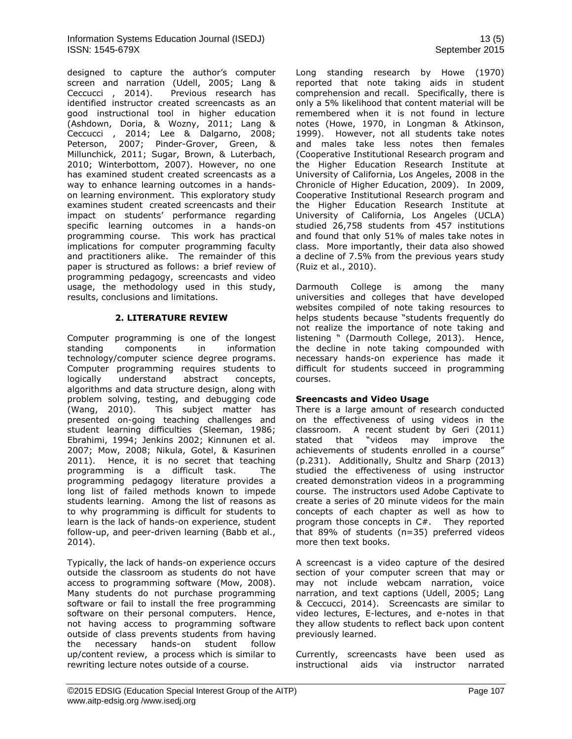designed to capture the author's computer screen and narration (Udell, 2005; Lang &<br>Ceccucci, 2014). Previous research has Previous research has identified instructor created screencasts as an good instructional tool in higher education (Ashdown, Doria, & Wozny, 2011; Lang & Ceccucci , 2014; Lee & Dalgarno, 2008; Peterson, 2007; Pinder-Grover, Green, & Millunchick, 2011; Sugar, Brown, & Luterbach, 2010; Winterbottom, 2007). However, no one has examined student created screencasts as a way to enhance learning outcomes in a handson learning environment. This exploratory study examines student created screencasts and their impact on students' performance regarding specific learning outcomes in a hands-on programming course. This work has practical implications for computer programming faculty and practitioners alike. The remainder of this paper is structured as follows: a brief review of programming pedagogy, screencasts and video usage, the methodology used in this study, results, conclusions and limitations.

#### **2. LITERATURE REVIEW**

Computer programming is one of the longest standing components in information technology/computer science degree programs. Computer programming requires students to logically understand abstract concepts, algorithms and data structure design, along with problem solving, testing, and debugging code (Wang, 2010). This subject matter has presented on-going teaching challenges and student learning difficulties (Sleeman, 1986; Ebrahimi, 1994; Jenkins 2002; Kinnunen et al. 2007; Mow, 2008; Nikula, Gotel, & Kasurinen 2011). Hence, it is no secret that teaching programming is a difficult task. The programming pedagogy literature provides a long list of failed methods known to impede students learning. Among the list of reasons as to why programming is difficult for students to learn is the lack of hands-on experience, student follow-up, and peer-driven learning (Babb et al., 2014).

Typically, the lack of hands-on experience occurs outside the classroom as students do not have access to programming software (Mow, 2008). Many students do not purchase programming software or fail to install the free programming software on their personal computers. Hence, not having access to programming software outside of class prevents students from having the necessary hands-on student follow up/content review, a process which is similar to rewriting lecture notes outside of a course.

Long standing research by Howe (1970) reported that note taking aids in student comprehension and recall. Specifically, there is only a 5% likelihood that content material will be remembered when it is not found in lecture notes (Howe, 1970, in Longman & Atkinson, 1999). However, not all students take notes and males take less notes then females (Cooperative Institutional Research program and the Higher Education Research Institute at University of California, Los Angeles, 2008 in the Chronicle of Higher Education, 2009). In 2009, Cooperative Institutional Research program and the Higher Education Research Institute at University of California, Los Angeles (UCLA) studied 26,758 students from 457 institutions and found that only 51% of males take notes in class. More importantly, their data also showed a decline of 7.5% from the previous years study (Ruiz et al., 2010).

Darmouth College is among the many universities and colleges that have developed websites compiled of note taking resources to helps students because "students frequently do not realize the importance of note taking and listening " (Darmouth College, 2013). Hence, the decline in note taking compounded with necessary hands-on experience has made it difficult for students succeed in programming courses.

#### **Sreencasts and Video Usage**

There is a large amount of research conducted on the effectiveness of using videos in the classroom. A recent student by Geri (2011) stated that "videos may improve the achievements of students enrolled in a course" (p.231). Additionally, Shultz and Sharp (2013) studied the effectiveness of using instructor created demonstration videos in a programming course. The instructors used Adobe Captivate to create a series of 20 minute videos for the main concepts of each chapter as well as how to program those concepts in C#. They reported that 89% of students (n=35) preferred videos more then text books.

A screencast is a video capture of the desired section of your computer screen that may or may not include webcam narration, voice narration, and text captions (Udell, 2005; Lang & Ceccucci, 2014). Screencasts are similar to video lectures, E-lectures, and e-notes in that they allow students to reflect back upon content previously learned.

Currently, screencasts have been used as instructional aids via instructor narrated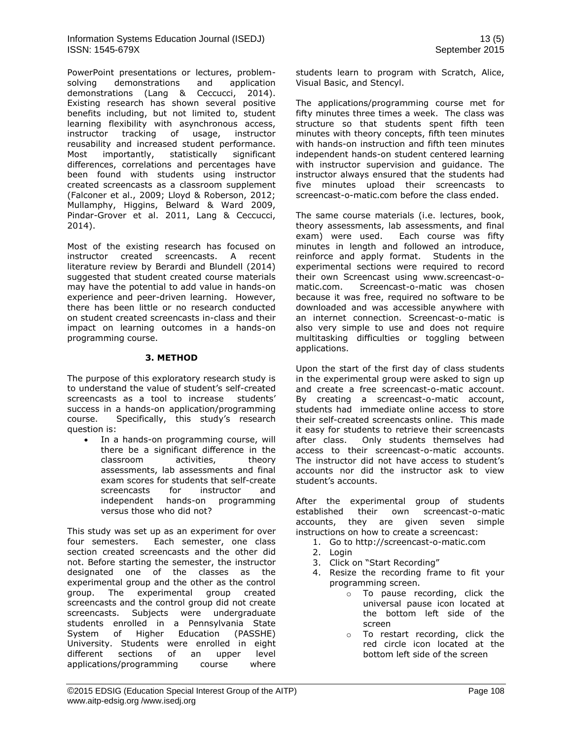PowerPoint presentations or lectures, problemsolving demonstrations and application demonstrations (Lang & Ceccucci, 2014). Existing research has shown several positive benefits including, but not limited to, student learning flexibility with asynchronous access, instructor tracking of usage, instructor reusability and increased student performance. Most importantly, statistically significant differences, correlations and percentages have been found with students using instructor created screencasts as a classroom supplement (Falconer et al., 2009; Lloyd & Roberson, 2012; Mullamphy, Higgins, Belward & Ward 2009, Pindar-Grover et al. 2011, Lang & Ceccucci, 2014).

Most of the existing research has focused on instructor created screencasts. A recent literature review by Berardi and Blundell (2014) suggested that student created course materials may have the potential to add value in hands-on experience and peer-driven learning. However, there has been little or no research conducted on student created screencasts in-class and their impact on learning outcomes in a hands-on programming course.

#### **3. METHOD**

The purpose of this exploratory research study is to understand the value of student's self-created screencasts as a tool to increase students' success in a hands-on application/programming course. Specifically, this study's research question is:

 In a hands-on programming course, will there be a significant difference in the classroom activities, theory assessments, lab assessments and final exam scores for students that self-create screencasts for instructor and independent hands-on programming versus those who did not?

This study was set up as an experiment for over four semesters. Each semester, one class section created screencasts and the other did not. Before starting the semester, the instructor designated one of the classes as the experimental group and the other as the control group. The experimental group created screencasts and the control group did not create screencasts. Subjects were undergraduate students enrolled in a Pennsylvania State System of Higher Education (PASSHE) University. Students were enrolled in eight different sections of an upper level applications/programming course where students learn to program with Scratch, Alice, Visual Basic, and Stencyl.

The applications/programming course met for fifty minutes three times a week. The class was structure so that students spent fifth teen minutes with theory concepts, fifth teen minutes with hands-on instruction and fifth teen minutes independent hands-on student centered learning with instructor supervision and guidance. The instructor always ensured that the students had five minutes upload their screencasts to screencast-o-matic.com before the class ended.

The same course materials (i.e. lectures, book, theory assessments, lab assessments, and final exam) were used. Each course was fifty minutes in length and followed an introduce, reinforce and apply format. Students in the experimental sections were required to record their own Screencast using [www.screencast-o](http://www.screencast-o-matic.com/)[matic.com.](http://www.screencast-o-matic.com/) Screencast-o-matic was chosen because it was free, required no software to be downloaded and was accessible anywhere with an internet connection. Screencast-o-matic is also very simple to use and does not require multitasking difficulties or toggling between applications.

Upon the start of the first day of class students in the experimental group were asked to sign up and create a free screencast-o-matic account. By creating a screencast-o-matic account, students had immediate online access to store their self-created screencasts online. This made it easy for students to retrieve their screencasts after class. Only students themselves had access to their screencast-o-matic accounts. The instructor did not have access to student's accounts nor did the instructor ask to view student's accounts.

After the experimental group of students established their own screencast-o-matic accounts, they are given seven simple instructions on how to create a screencast:

- 1. Go to [http://screencast-o-matic.com](http://screencast-o-matic.com/)
- 2. Login
- 3. Click on "Start Recording"
- 4. Resize the recording frame to fit your programming screen.
	- o To pause recording, click the universal pause icon located at the bottom left side of the screen
	- o To restart recording, click the red circle icon located at the bottom left side of the screen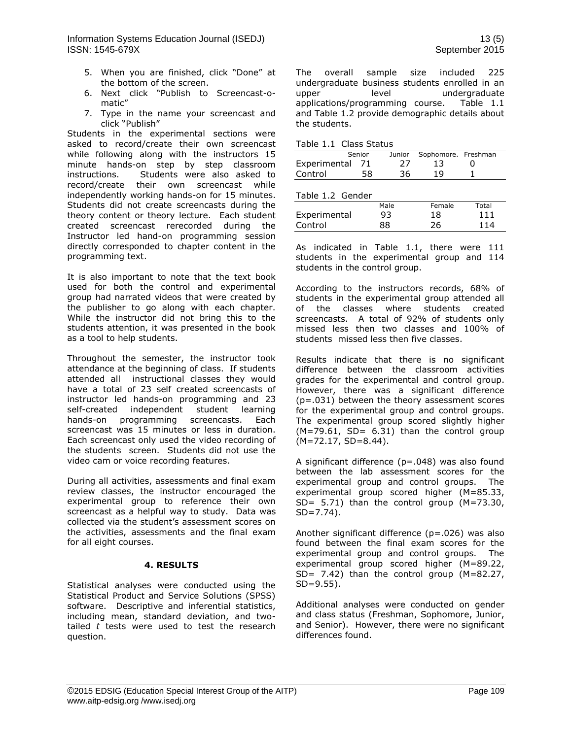- 5. When you are finished, click "Done" at the bottom of the screen.
- 6. Next click "Publish to Screencast-omatic"
- 7. Type in the name your screencast and click "Publish"

Students in the experimental sections were asked to record/create their own screencast while following along with the instructors 15 minute hands-on step by step classroom instructions. Students were also asked to record/create their own screencast while independently working hands-on for 15 minutes. Students did not create screencasts during the theory content or theory lecture. Each student created screencast rerecorded during the Instructor led hand-on programming session directly corresponded to chapter content in the programming text.

It is also important to note that the text book used for both the control and experimental group had narrated videos that were created by the publisher to go along with each chapter. While the instructor did not bring this to the students attention, it was presented in the book as a tool to help students.

Throughout the semester, the instructor took attendance at the beginning of class. If students attended all instructional classes they would have a total of 23 self created screencasts of instructor led hands-on programming and 23 self-created independent student learning hands-on programming screencasts. Each screencast was 15 minutes or less in duration. Each screencast only used the video recording of the students screen. Students did not use the video cam or voice recording features.

During all activities, assessments and final exam review classes, the instructor encouraged the experimental group to reference their own screencast as a helpful way to study. Data was collected via the student's assessment scores on the activities, assessments and the final exam for all eight courses.

#### **4. RESULTS**

Statistical analyses were conducted using the Statistical Product and Service Solutions (SPSS) software. Descriptive and inferential statistics, including mean, standard deviation, and twotailed *t* tests were used to test the research question.

The overall sample size included 225 undergraduate business students enrolled in an upper level undergraduate applications/programming course. Table 1.1 and Table 1.2 provide demographic details about the students.

|                 | Senior |     | Junior Sophomore. Freshman |  |
|-----------------|--------|-----|----------------------------|--|
| Experimental 71 |        | -27 | -13                        |  |
| Control         | 58.    | 36. | 19                         |  |

|  | Table 1.2 Gender |
|--|------------------|
|  |                  |

| TUDIC I.E OCHUCH |      |        |       |
|------------------|------|--------|-------|
|                  | Male | Female | Total |
| Experimental     | 93   | 18     | 111   |
| Control          | 88   | 26     | 114   |

As indicated in Table 1.1, there were 111 students in the experimental group and 114 students in the control group.

According to the instructors records, 68% of students in the experimental group attended all of the classes where students created screencasts. A total of 92% of students only missed less then two classes and 100% of students missed less then five classes.

Results indicate that there is no significant difference between the classroom activities grades for the experimental and control group. However, there was a significant difference (p=.031) between the theory assessment scores for the experimental group and control groups. The experimental group scored slightly higher  $(M=79.61, SD= 6.31)$  than the control group (M=72.17, SD=8.44).

A significant difference (p=.048) was also found between the lab assessment scores for the experimental group and control groups. The experimental group scored higher (M=85.33, SD=  $5.71$ ) than the control group (M=73.30,  $SD = 7.74$ ).

Another significant difference (p=.026) was also found between the final exam scores for the experimental group and control groups. The experimental group scored higher (M=89.22, SD=  $7.42$ ) than the control group (M=82.27, SD=9.55).

Additional analyses were conducted on gender and class status (Freshman, Sophomore, Junior, and Senior). However, there were no significant differences found.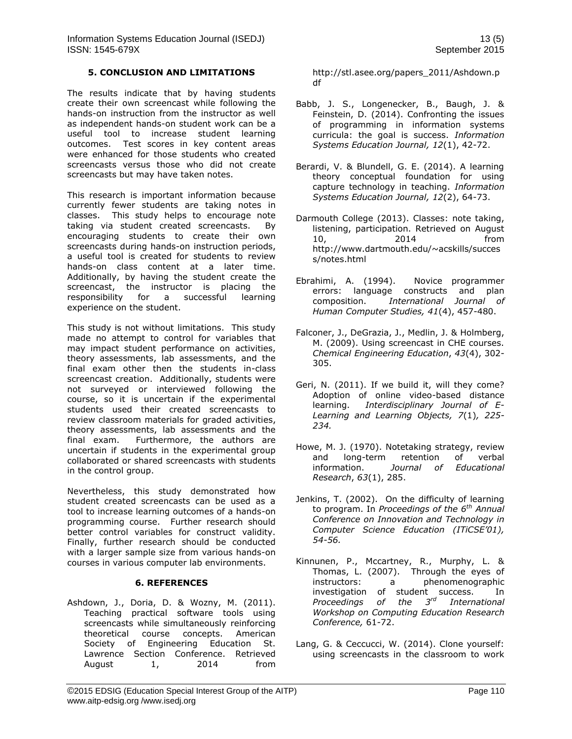#### **5. CONCLUSION AND LIMITATIONS**

The results indicate that by having students create their own screencast while following the hands-on instruction from the instructor as well as independent hands-on student work can be a useful tool to increase student learning outcomes. Test scores in key content areas were enhanced for those students who created screencasts versus those who did not create screencasts but may have taken notes.

This research is important information because currently fewer students are taking notes in classes. This study helps to encourage note taking via student created screencasts. By encouraging students to create their own screencasts during hands-on instruction periods, a useful tool is created for students to review hands-on class content at a later time. Additionally, by having the student create the screencast, the instructor is placing the responsibility for a successful learning experience on the student.

This study is not without limitations. This study made no attempt to control for variables that may impact student performance on activities, theory assessments, lab assessments, and the final exam other then the students in-class screencast creation. Additionally, students were not surveyed or interviewed following the course, so it is uncertain if the experimental students used their created screencasts to review classroom materials for graded activities, theory assessments, lab assessments and the final exam. Furthermore, the authors are uncertain if students in the experimental group collaborated or shared screencasts with students in the control group.

Nevertheless, this study demonstrated how student created screencasts can be used as a tool to increase learning outcomes of a hands-on programming course. Further research should better control variables for construct validity. Finally, further research should be conducted with a larger sample size from various hands-on courses in various computer lab environments.

#### **6. REFERENCES**

Ashdown, J., Doria, D. & Wozny, M. (2011). Teaching practical software tools using screencasts while simultaneously reinforcing theoretical course concepts. American Society of Engineering Education St. Lawrence Section Conference. Retrieved August 1, 2014 from

http://stl.asee.org/papers\_2011/Ashdown.p df

- Babb, J. S., Longenecker, B., Baugh, J. & Feinstein, D. (2014). Confronting the issues of programming in information systems curricula: the goal is success. *Information Systems Education Journal, 12*(1), 42-72.
- Berardi, V. & Blundell, G. E. (2014). A learning theory conceptual foundation for using capture technology in teaching. *Information Systems Education Journal, 12*(2), 64-73.
- Darmouth College (2013). Classes: note taking, listening, participation. Retrieved on August 10, 2014 from [http://www.dartmouth.edu/~acskills/succes](http://www.dartmouth.edu/~acskills/success/notes.html) [s/notes.html](http://www.dartmouth.edu/~acskills/success/notes.html)
- Ebrahimi, A. (1994). Novice programmer errors: language constructs and plan composition. *International Journal of Human Computer Studies, 41*(4), 457-480.
- Falconer, J., DeGrazia, J., Medlin, J. & Holmberg, M. (2009). Using screencast in CHE courses. *Chemical Engineering Education*, *43*(4), 302- 305.
- Geri, N. (2011). If we build it, will they come? Adoption of online video-based distance learning. *Interdisciplinary Journal of E-Learning and Learning Objects, 7*(1)*, 225- 234.*
- Howe, M. J. (1970). Notetaking strategy, review and long-term retention of verbal information. *Journal of Educational Research*, *63*(1), 285.
- Jenkins, T. (2002). On the difficulty of learning to program. In *Proceedings of the 6th Annual Conference on Innovation and Technology in Computer Science Education (ITiCSE'01), 54-56.*
- Kinnunen, P., Mccartney, R., Murphy, L. & Thomas, L. (2007). Through the eyes of instructors: a phenomenographic investigation of student success. In *Proceedings of the 3rd International Workshop on Computing Education Research Conference,* 61-72.
- Lang, G. & Ceccucci, W. (2014). Clone yourself: using screencasts in the classroom to work